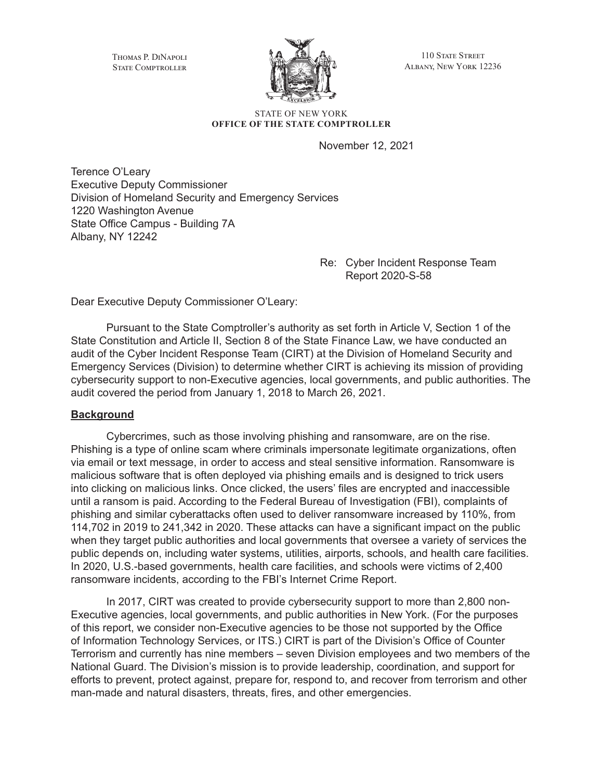Thomas P. DiNapoli STATE COMPTROLLER



110 STATE STREET Albany, New York 12236

#### STATE OF NEW YORK **OFFICE OF THE STATE COMPTROLLER**

November 12, 2021

Terence O'Leary Executive Deputy Commissioner Division of Homeland Security and Emergency Services 1220 Washington Avenue State Office Campus - Building 7A Albany, NY 12242

> Re: Cyber Incident Response Team Report 2020-S-58

Dear Executive Deputy Commissioner O'Leary:

Pursuant to the State Comptroller's authority as set forth in Article V, Section 1 of the State Constitution and Article II, Section 8 of the State Finance Law, we have conducted an audit of the Cyber Incident Response Team (CIRT) at the Division of Homeland Security and Emergency Services (Division) to determine whether CIRT is achieving its mission of providing cybersecurity support to non-Executive agencies, local governments, and public authorities. The audit covered the period from January 1, 2018 to March 26, 2021.

### **Background**

Cybercrimes, such as those involving phishing and ransomware, are on the rise. Phishing is a type of online scam where criminals impersonate legitimate organizations, often via email or text message, in order to access and steal sensitive information. Ransomware is malicious software that is often deployed via phishing emails and is designed to trick users into clicking on malicious links. Once clicked, the users' files are encrypted and inaccessible until a ransom is paid. According to the Federal Bureau of Investigation (FBI), complaints of phishing and similar cyberattacks often used to deliver ransomware increased by 110%, from 114,702 in 2019 to 241,342 in 2020. These attacks can have a significant impact on the public when they target public authorities and local governments that oversee a variety of services the public depends on, including water systems, utilities, airports, schools, and health care facilities. In 2020, U.S.-based governments, health care facilities, and schools were victims of 2,400 ransomware incidents, according to the FBI's Internet Crime Report.

In 2017, CIRT was created to provide cybersecurity support to more than 2,800 non-Executive agencies, local governments, and public authorities in New York. (For the purposes of this report, we consider non-Executive agencies to be those not supported by the Office of Information Technology Services, or ITS.) CIRT is part of the Division's Office of Counter Terrorism and currently has nine members – seven Division employees and two members of the National Guard. The Division's mission is to provide leadership, coordination, and support for efforts to prevent, protect against, prepare for, respond to, and recover from terrorism and other man-made and natural disasters, threats, fires, and other emergencies.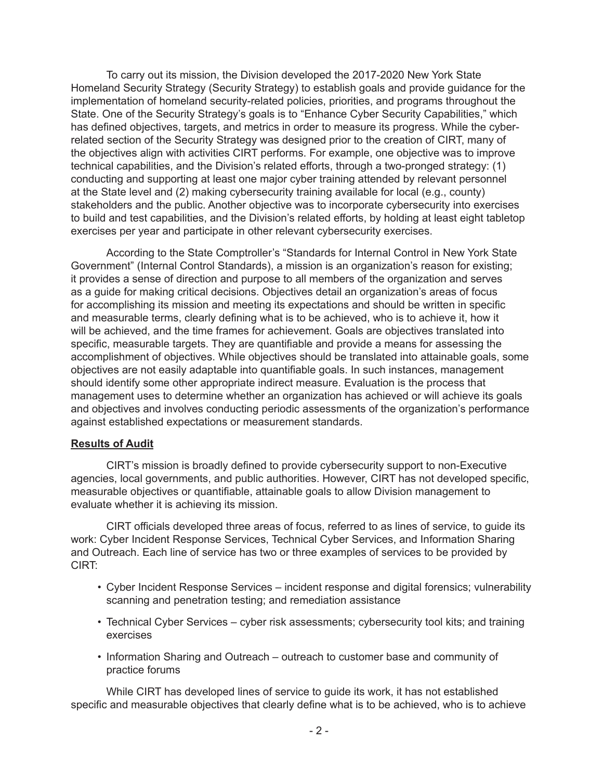To carry out its mission, the Division developed the 2017-2020 New York State Homeland Security Strategy (Security Strategy) to establish goals and provide guidance for the implementation of homeland security-related policies, priorities, and programs throughout the State. One of the Security Strategy's goals is to "Enhance Cyber Security Capabilities," which has defined objectives, targets, and metrics in order to measure its progress. While the cyberrelated section of the Security Strategy was designed prior to the creation of CIRT, many of the objectives align with activities CIRT performs. For example, one objective was to improve technical capabilities, and the Division's related efforts, through a two-pronged strategy: (1) conducting and supporting at least one major cyber training attended by relevant personnel at the State level and (2) making cybersecurity training available for local (e.g., county) stakeholders and the public. Another objective was to incorporate cybersecurity into exercises to build and test capabilities, and the Division's related efforts, by holding at least eight tabletop exercises per year and participate in other relevant cybersecurity exercises.

According to the State Comptroller's "Standards for Internal Control in New York State Government" (Internal Control Standards), a mission is an organization's reason for existing; it provides a sense of direction and purpose to all members of the organization and serves as a guide for making critical decisions. Objectives detail an organization's areas of focus for accomplishing its mission and meeting its expectations and should be written in specific and measurable terms, clearly defining what is to be achieved, who is to achieve it, how it will be achieved, and the time frames for achievement. Goals are objectives translated into specific, measurable targets. They are quantifiable and provide a means for assessing the accomplishment of objectives. While objectives should be translated into attainable goals, some objectives are not easily adaptable into quantifiable goals. In such instances, management should identify some other appropriate indirect measure. Evaluation is the process that management uses to determine whether an organization has achieved or will achieve its goals and objectives and involves conducting periodic assessments of the organization's performance against established expectations or measurement standards.

### **Results of Audit**

CIRT's mission is broadly defined to provide cybersecurity support to non-Executive agencies, local governments, and public authorities. However, CIRT has not developed specific, measurable objectives or quantifiable, attainable goals to allow Division management to evaluate whether it is achieving its mission.

CIRT officials developed three areas of focus, referred to as lines of service, to guide its work: Cyber Incident Response Services, Technical Cyber Services, and Information Sharing and Outreach. Each line of service has two or three examples of services to be provided by CIRT:

- Cyber Incident Response Services incident response and digital forensics; vulnerability scanning and penetration testing; and remediation assistance
- Technical Cyber Services cyber risk assessments; cybersecurity tool kits; and training exercises
- Information Sharing and Outreach outreach to customer base and community of practice forums

While CIRT has developed lines of service to guide its work, it has not established specific and measurable objectives that clearly define what is to be achieved, who is to achieve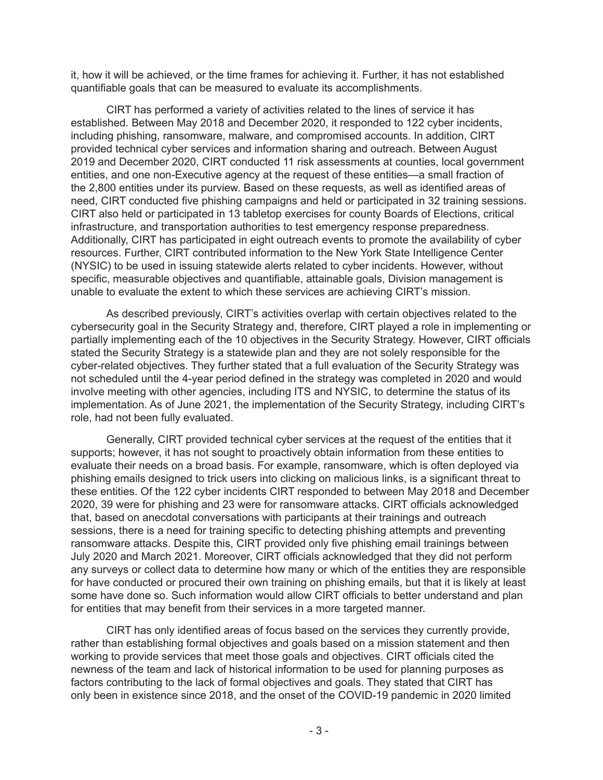it, how it will be achieved, or the time frames for achieving it. Further, it has not established quantifiable goals that can be measured to evaluate its accomplishments.

CIRT has performed a variety of activities related to the lines of service it has established. Between May 2018 and December 2020, it responded to 122 cyber incidents, including phishing, ransomware, malware, and compromised accounts. In addition, CIRT provided technical cyber services and information sharing and outreach. Between August 2019 and December 2020, CIRT conducted 11 risk assessments at counties, local government entities, and one non-Executive agency at the request of these entities—a small fraction of the 2,800 entities under its purview. Based on these requests, as well as identified areas of need, CIRT conducted five phishing campaigns and held or participated in 32 training sessions. CIRT also held or participated in 13 tabletop exercises for county Boards of Elections, critical infrastructure, and transportation authorities to test emergency response preparedness. Additionally, CIRT has participated in eight outreach events to promote the availability of cyber resources. Further, CIRT contributed information to the New York State Intelligence Center (NYSIC) to be used in issuing statewide alerts related to cyber incidents. However, without specific, measurable objectives and quantifiable, attainable goals, Division management is unable to evaluate the extent to which these services are achieving CIRT's mission.

As described previously, CIRT's activities overlap with certain objectives related to the cybersecurity goal in the Security Strategy and, therefore, CIRT played a role in implementing or partially implementing each of the 10 objectives in the Security Strategy. However, CIRT officials stated the Security Strategy is a statewide plan and they are not solely responsible for the cyber-related objectives. They further stated that a full evaluation of the Security Strategy was not scheduled until the 4-year period defined in the strategy was completed in 2020 and would involve meeting with other agencies, including ITS and NYSIC, to determine the status of its implementation. As of June 2021, the implementation of the Security Strategy, including CIRT's role, had not been fully evaluated.

Generally, CIRT provided technical cyber services at the request of the entities that it supports; however, it has not sought to proactively obtain information from these entities to evaluate their needs on a broad basis. For example, ransomware, which is often deployed via phishing emails designed to trick users into clicking on malicious links, is a significant threat to these entities. Of the 122 cyber incidents CIRT responded to between May 2018 and December 2020, 39 were for phishing and 23 were for ransomware attacks. CIRT officials acknowledged that, based on anecdotal conversations with participants at their trainings and outreach sessions, there is a need for training specific to detecting phishing attempts and preventing ransomware attacks. Despite this, CIRT provided only five phishing email trainings between July 2020 and March 2021. Moreover, CIRT officials acknowledged that they did not perform any surveys or collect data to determine how many or which of the entities they are responsible for have conducted or procured their own training on phishing emails, but that it is likely at least some have done so. Such information would allow CIRT officials to better understand and plan for entities that may benefit from their services in a more targeted manner.

CIRT has only identified areas of focus based on the services they currently provide, rather than establishing formal objectives and goals based on a mission statement and then working to provide services that meet those goals and objectives. CIRT officials cited the newness of the team and lack of historical information to be used for planning purposes as factors contributing to the lack of formal objectives and goals. They stated that CIRT has only been in existence since 2018, and the onset of the COVID-19 pandemic in 2020 limited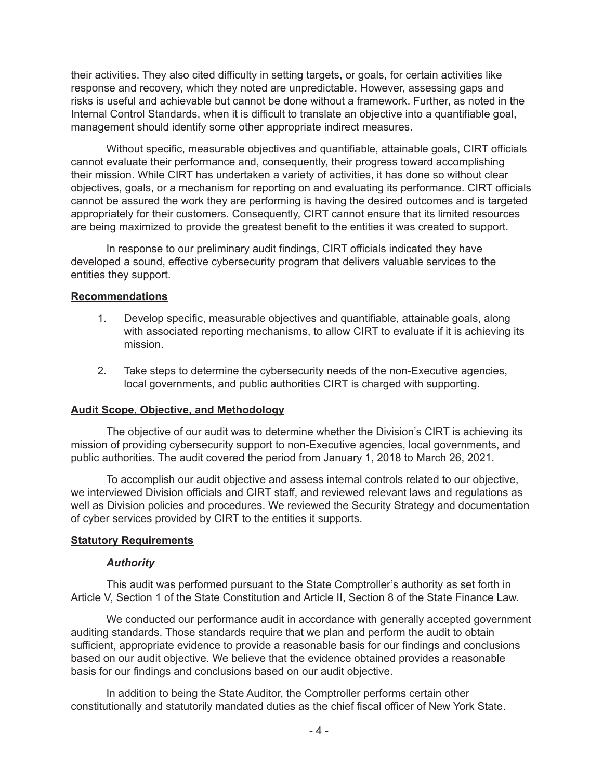their activities. They also cited difficulty in setting targets, or goals, for certain activities like response and recovery, which they noted are unpredictable. However, assessing gaps and risks is useful and achievable but cannot be done without a framework. Further, as noted in the Internal Control Standards, when it is difficult to translate an objective into a quantifiable goal, management should identify some other appropriate indirect measures.

Without specific, measurable objectives and quantifiable, attainable goals, CIRT officials cannot evaluate their performance and, consequently, their progress toward accomplishing their mission. While CIRT has undertaken a variety of activities, it has done so without clear objectives, goals, or a mechanism for reporting on and evaluating its performance. CIRT officials cannot be assured the work they are performing is having the desired outcomes and is targeted appropriately for their customers. Consequently, CIRT cannot ensure that its limited resources are being maximized to provide the greatest benefit to the entities it was created to support.

In response to our preliminary audit findings, CIRT officials indicated they have developed a sound, effective cybersecurity program that delivers valuable services to the entities they support.

### **Recommendations**

- 1. Develop specific, measurable objectives and quantifiable, attainable goals, along with associated reporting mechanisms, to allow CIRT to evaluate if it is achieving its mission.
- 2. Take steps to determine the cybersecurity needs of the non-Executive agencies, local governments, and public authorities CIRT is charged with supporting.

### **Audit Scope, Objective, and Methodology**

The objective of our audit was to determine whether the Division's CIRT is achieving its mission of providing cybersecurity support to non-Executive agencies, local governments, and public authorities. The audit covered the period from January 1, 2018 to March 26, 2021.

To accomplish our audit objective and assess internal controls related to our objective, we interviewed Division officials and CIRT staff, and reviewed relevant laws and regulations as well as Division policies and procedures. We reviewed the Security Strategy and documentation of cyber services provided by CIRT to the entities it supports.

#### **Statutory Requirements**

### *Authority*

This audit was performed pursuant to the State Comptroller's authority as set forth in Article V, Section 1 of the State Constitution and Article II, Section 8 of the State Finance Law.

We conducted our performance audit in accordance with generally accepted government auditing standards. Those standards require that we plan and perform the audit to obtain sufficient, appropriate evidence to provide a reasonable basis for our findings and conclusions based on our audit objective. We believe that the evidence obtained provides a reasonable basis for our findings and conclusions based on our audit objective.

In addition to being the State Auditor, the Comptroller performs certain other constitutionally and statutorily mandated duties as the chief fiscal officer of New York State.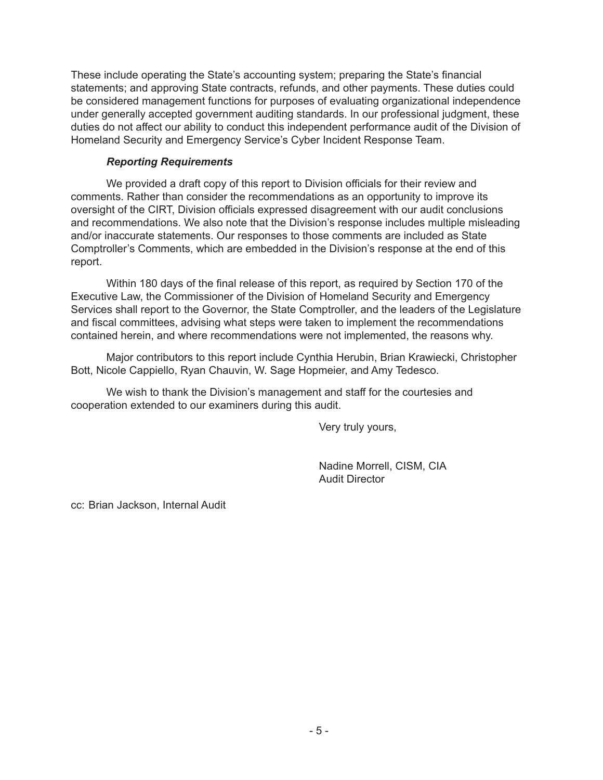These include operating the State's accounting system; preparing the State's financial statements; and approving State contracts, refunds, and other payments. These duties could be considered management functions for purposes of evaluating organizational independence under generally accepted government auditing standards. In our professional judgment, these duties do not affect our ability to conduct this independent performance audit of the Division of Homeland Security and Emergency Service's Cyber Incident Response Team.

## *Reporting Requirements*

We provided a draft copy of this report to Division officials for their review and comments. Rather than consider the recommendations as an opportunity to improve its oversight of the CIRT, Division officials expressed disagreement with our audit conclusions and recommendations. We also note that the Division's response includes multiple misleading and/or inaccurate statements. Our responses to those comments are included as State Comptroller's Comments, which are embedded in the Division's response at the end of this report.

Within 180 days of the final release of this report, as required by Section 170 of the Executive Law, the Commissioner of the Division of Homeland Security and Emergency Services shall report to the Governor, the State Comptroller, and the leaders of the Legislature and fiscal committees, advising what steps were taken to implement the recommendations contained herein, and where recommendations were not implemented, the reasons why.

Major contributors to this report include Cynthia Herubin, Brian Krawiecki, Christopher Bott, Nicole Cappiello, Ryan Chauvin, W. Sage Hopmeier, and Amy Tedesco.

We wish to thank the Division's management and staff for the courtesies and cooperation extended to our examiners during this audit.

Very truly yours,

Nadine Morrell, CISM, CIA Audit Director

cc: Brian Jackson, Internal Audit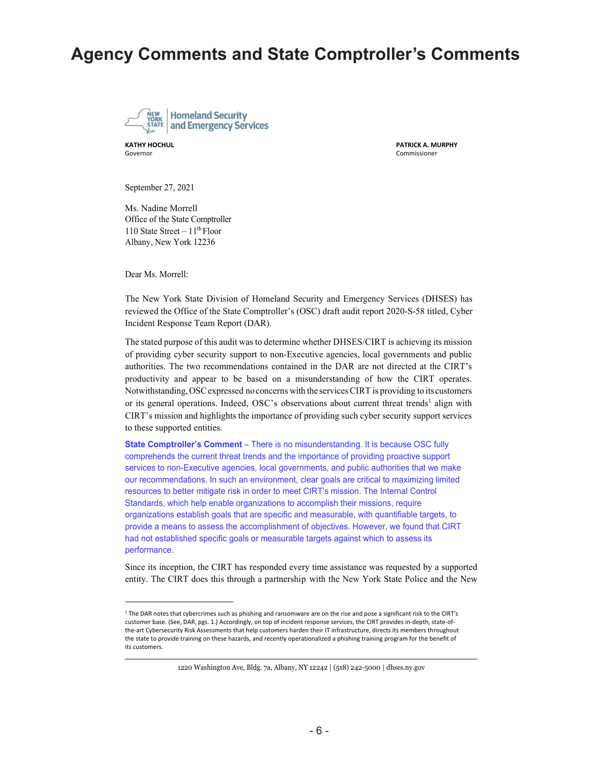# **Agency Comments and State Comptroller's Comments**



Governor Commissioner

**KATHY HOCHUL PATRICK A. MURPHY**

September 27, 2021

Ms. Nadine Morrell Office of the State Comptroller 110 State Street –  $11<sup>th</sup>$  Floor Albany, New York 12236

Dear Ms. Morrell:

The New York State Division of Homeland Security and Emergency Services (DHSES) has reviewed the Office of the State Comptroller's (OSC) draft audit report 2020-S-58 titled, Cyber Incident Response Team Report (DAR).

The stated purpose of this audit was to determine whether DHSES/CIRT is achieving its mission of providing cyber security support to non-Executive agencies, local governments and public authorities. The two recommendations contained in the DAR are not directed at the CIRT's productivity and appear to be based on a misunderstanding of how the CIRT operates. Notwithstanding, OSC expressed no concerns with the services CIRT is providing to its customers or its general operations. Indeed, OSC's observations about current threat trends<sup>1</sup> align with CIRT's mission and highlights the importance of providing such cyber security support services to these supported entities.

**State Comptroller's Comment** – There is no misunderstanding. It is because OSC fully comprehends the current threat trends and the importance of providing proactive support services to non-Executive agencies, local governments, and public authorities that we make our recommendations. In such an environment, clear goals are critical to maximizing limited resources to better mitigate risk in order to meet CIRT's mission. The Internal Control Standards, which help enable organizations to accomplish their missions, require organizations establish goals that are specific and measurable, with quantifiable targets, to provide a means to assess the accomplishment of objectives. However, we found that CIRT had not established specific goals or measurable targets against which to assess its performance.

Since its inception, the CIRT has responded every time assistance was requested by a supported entity. The CIRT does this through a partnership with the New York State Police and the New

1220 Washington Ave, Bldg. 7a, Albany, NY 12242 | (518) 242-5000 | dhses.ny.gov

<sup>1</sup> The DAR notes that cybercrimes such as phishing and ransomware are on the rise and pose a significant risk to the CIRT's customer base. (See, DAR, pgs. 1.) Accordingly, on top of incident response services, the CIRT provides in‐depth, state‐of‐ the-art Cybersecurity Risk Assessments that help customers harden their IT infrastructure, directs its members throughout the state to provide training on these hazards, and recently operationalized a phishing training program for the benefit of its customers.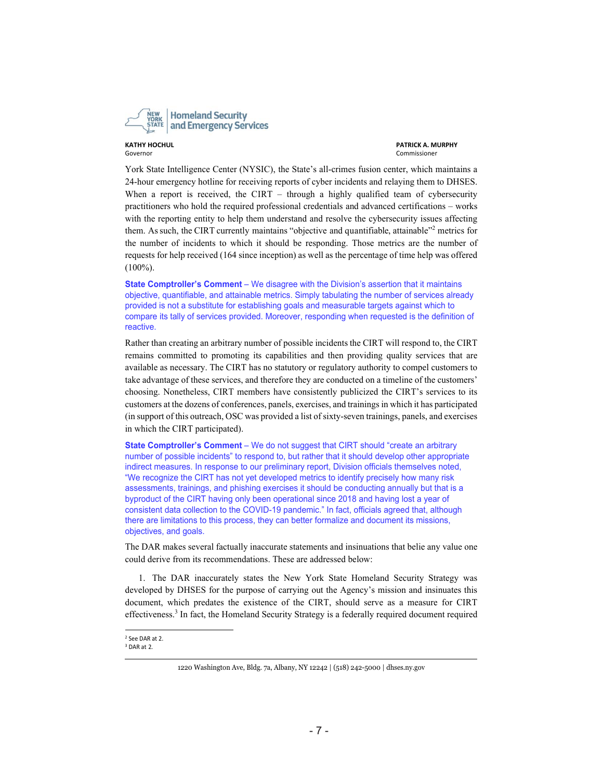

**KATHY HOCHUL PATRICK A. MURPHY**

York State Intelligence Center (NYSIC), the State's all-crimes fusion center, which maintains a 24-hour emergency hotline for receiving reports of cyber incidents and relaying them to DHSES. When a report is received, the CIRT – through a highly qualified team of cybersecurity practitioners who hold the required professional credentials and advanced certifications – works with the reporting entity to help them understand and resolve the cybersecurity issues affecting them. As such, the CIRT currently maintains "objective and quantifiable, attainable"<sup>2</sup> metrics for the number of incidents to which it should be responding. Those metrics are the number of requests for help received (164 since inception) as well as the percentage of time help was offered (100%).

**State Comptroller's Comment** – We disagree with the Division's assertion that it maintains objective, quantifiable, and attainable metrics. Simply tabulating the number of services already provided is not a substitute for establishing goals and measurable targets against which to compare its tally of services provided. Moreover, responding when requested is the definition of reactive.

Rather than creating an arbitrary number of possible incidents the CIRT will respond to, the CIRT remains committed to promoting its capabilities and then providing quality services that are available as necessary. The CIRT has no statutory or regulatory authority to compel customers to take advantage of these services, and therefore they are conducted on a timeline of the customers' choosing. Nonetheless, CIRT members have consistently publicized the CIRT's services to its customers at the dozens of conferences, panels, exercises, and trainings in which it has participated (in support of this outreach, OSC was provided a list of sixty-seven trainings, panels, and exercises in which the CIRT participated).

**State Comptroller's Comment** – We do not suggest that CIRT should "create an arbitrary number of possible incidents" to respond to, but rather that it should develop other appropriate indirect measures. In response to our preliminary report, Division officials themselves noted, "We recognize the CIRT has not yet developed metrics to identify precisely how many risk assessments, trainings, and phishing exercises it should be conducting annually but that is a byproduct of the CIRT having only been operational since 2018 and having lost a year of consistent data collection to the COVID-19 pandemic." In fact, officials agreed that, although there are limitations to this process, they can better formalize and document its missions, objectives, and goals.

The DAR makes several factually inaccurate statements and insinuations that belie any value one could derive from its recommendations. These are addressed below:

1. The DAR inaccurately states the New York State Homeland Security Strategy was developed by DHSES for the purpose of carrying out the Agency's mission and insinuates this document, which predates the existence of the CIRT, should serve as a measure for CIRT effectiveness.<sup>3</sup> In fact, the Homeland Security Strategy is a federally required document required

<sup>2</sup> See DAR at 2.

<sup>3</sup> DAR at 2.

<sup>1220</sup> Washington Ave, Bldg. 7a, Albany, NY 12242 | (518) 242-5000 | dhses.ny.gov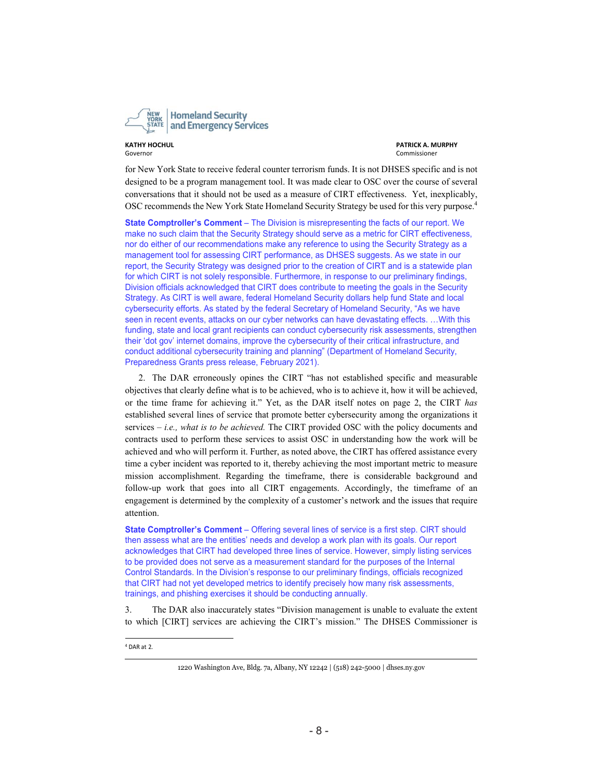

**KATHY HOCHUL PATRICK A. MURPHY**

for New York State to receive federal counter terrorism funds. It is not DHSES specific and is not designed to be a program management tool. It was made clear to OSC over the course of several conversations that it should not be used as a measure of CIRT effectiveness. Yet, inexplicably, OSC recommends the New York State Homeland Security Strategy be used for this very purpose.<sup>4</sup>

**State Comptroller's Comment** – The Division is misrepresenting the facts of our report. We make no such claim that the Security Strategy should serve as a metric for CIRT effectiveness, nor do either of our recommendations make any reference to using the Security Strategy as a management tool for assessing CIRT performance, as DHSES suggests. As we state in our report, the Security Strategy was designed prior to the creation of CIRT and is a statewide plan for which CIRT is not solely responsible. Furthermore, in response to our preliminary findings, Division officials acknowledged that CIRT does contribute to meeting the goals in the Security Strategy. As CIRT is well aware, federal Homeland Security dollars help fund State and local cybersecurity efforts. As stated by the federal Secretary of Homeland Security, "As we have seen in recent events, attacks on our cyber networks can have devastating effects. …With this funding, state and local grant recipients can conduct cybersecurity risk assessments, strengthen their 'dot gov' internet domains, improve the cybersecurity of their critical infrastructure, and conduct additional cybersecurity training and planning" (Department of Homeland Security, Preparedness Grants press release, February 2021).

2. The DAR erroneously opines the CIRT "has not established specific and measurable objectives that clearly define what is to be achieved, who is to achieve it, how it will be achieved, or the time frame for achieving it." Yet, as the DAR itself notes on page 2, the CIRT *has*  established several lines of service that promote better cybersecurity among the organizations it services – *i.e., what is to be achieved.* The CIRT provided OSC with the policy documents and contracts used to perform these services to assist OSC in understanding how the work will be achieved and who will perform it. Further, as noted above, the CIRT has offered assistance every time a cyber incident was reported to it, thereby achieving the most important metric to measure mission accomplishment. Regarding the timeframe, there is considerable background and follow-up work that goes into all CIRT engagements. Accordingly, the timeframe of an engagement is determined by the complexity of a customer's network and the issues that require attention.

**State Comptroller's Comment** – Offering several lines of service is a first step. CIRT should then assess what are the entities' needs and develop a work plan with its goals. Our report acknowledges that CIRT had developed three lines of service. However, simply listing services to be provided does not serve as a measurement standard for the purposes of the Internal Control Standards. In the Division's response to our preliminary findings, officials recognized that CIRT had not yet developed metrics to identify precisely how many risk assessments, trainings, and phishing exercises it should be conducting annually.

3. The DAR also inaccurately states "Division management is unable to evaluate the extent to which [CIRT] services are achieving the CIRT's mission." The DHSES Commissioner is

<sup>4</sup> DAR at 2.

<sup>1220</sup> Washington Ave, Bldg. 7a, Albany, NY 12242 | (518) 242-5000 | dhses.ny.gov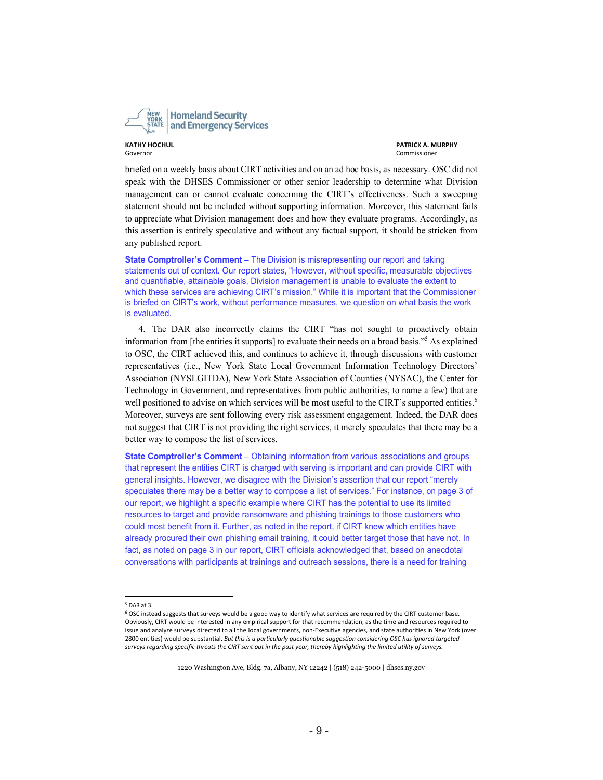

**KATHY HOCHUL PATRICK A. MURPHY**

briefed on a weekly basis about CIRT activities and on an ad hoc basis, as necessary. OSC did not speak with the DHSES Commissioner or other senior leadership to determine what Division management can or cannot evaluate concerning the CIRT's effectiveness. Such a sweeping statement should not be included without supporting information. Moreover, this statement fails to appreciate what Division management does and how they evaluate programs. Accordingly, as this assertion is entirely speculative and without any factual support, it should be stricken from any published report.

**State Comptroller's Comment** – The Division is misrepresenting our report and taking statements out of context. Our report states, "However, without specific, measurable objectives and quantifiable, attainable goals, Division management is unable to evaluate the extent to which these services are achieving CIRT's mission." While it is important that the Commissioner is briefed on CIRT's work, without performance measures, we question on what basis the work is evaluated.

4. The DAR also incorrectly claims the CIRT "has not sought to proactively obtain information from [the entities it supports] to evaluate their needs on a broad basis."<sup>5</sup> As explained to OSC, the CIRT achieved this, and continues to achieve it, through discussions with customer representatives (i.e., New York State Local Government Information Technology Directors' Association (NYSLGITDA), New York State Association of Counties (NYSAC), the Center for Technology in Government, and representatives from public authorities, to name a few) that are well positioned to advise on which services will be most useful to the CIRT's supported entities.<sup>6</sup> Moreover, surveys are sent following every risk assessment engagement. Indeed, the DAR does not suggest that CIRT is not providing the right services, it merely speculates that there may be a better way to compose the list of services.

**State Comptroller's Comment** – Obtaining information from various associations and groups that represent the entities CIRT is charged with serving is important and can provide CIRT with general insights. However, we disagree with the Division's assertion that our report "merely speculates there may be a better way to compose a list of services." For instance, on page 3 of our report, we highlight a specific example where CIRT has the potential to use its limited resources to target and provide ransomware and phishing trainings to those customers who could most benefit from it. Further, as noted in the report, if CIRT knew which entities have already procured their own phishing email training, it could better target those that have not. In fact, as noted on page 3 in our report, CIRT officials acknowledged that, based on anecdotal conversations with participants at trainings and outreach sessions, there is a need for training

1220 Washington Ave, Bldg. 7a, Albany, NY 12242 | (518) 242-5000 | dhses.ny.gov

 $5$  DAR at 3.

<sup>6</sup> OSC instead suggests that surveys would be a good way to identify what services are required by the CIRT customer base. Obviously, CIRT would be interested in any empirical support for that recommendation, as the time and resources required to issue and analyze surveys directed to all the local governments, non‐Executive agencies, and state authorities in New York (over 2800 entities) would be substantial. *But this is a particularly questionable suggestion considering OSC has ignored targeted surveys regarding specific threats the CIRT sent out in the past year, thereby highlighting the limited utility of surveys.*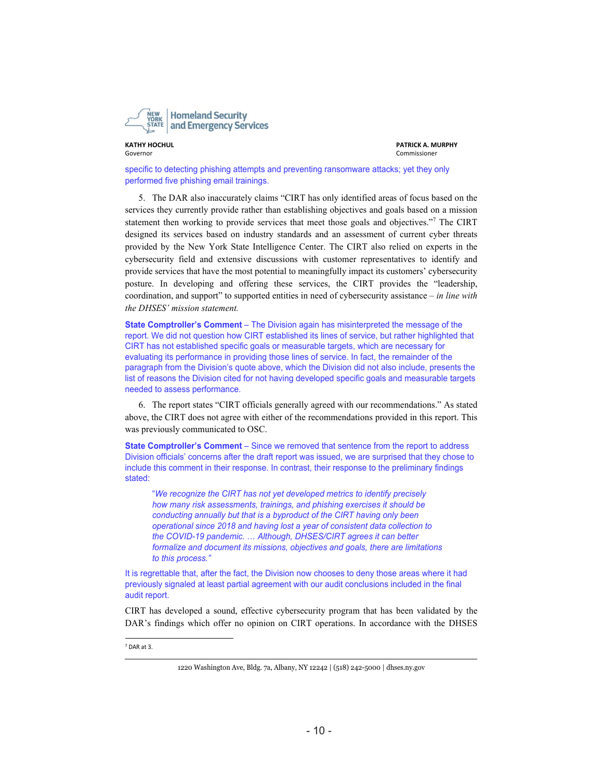

**KATHY HOCHUL PATRICK A. MURPHY**

specific to detecting phishing attempts and preventing ransomware attacks; yet they only performed five phishing email trainings.

5. The DAR also inaccurately claims "CIRT has only identified areas of focus based on the services they currently provide rather than establishing objectives and goals based on a mission statement then working to provide services that meet those goals and objectives."<sup>7</sup> The CIRT designed its services based on industry standards and an assessment of current cyber threats provided by the New York State Intelligence Center. The CIRT also relied on experts in the cybersecurity field and extensive discussions with customer representatives to identify and provide services that have the most potential to meaningfully impact its customers' cybersecurity posture. In developing and offering these services, the CIRT provides the "leadership, coordination, and support" to supported entities in need of cybersecurity assistance – *in line with the DHSES' mission statement.* 

**State Comptroller's Comment** – The Division again has misinterpreted the message of the report. We did not question how CIRT established its lines of service, but rather highlighted that CIRT has not established specific goals or measurable targets, which are necessary for evaluating its performance in providing those lines of service. In fact, the remainder of the paragraph from the Division's quote above, which the Division did not also include, presents the list of reasons the Division cited for not having developed specific goals and measurable targets needed to assess performance.

6. The report states "CIRT officials generally agreed with our recommendations." As stated above, the CIRT does not agree with either of the recommendations provided in this report. This was previously communicated to OSC.

**State Comptroller's Comment** – Since we removed that sentence from the report to address Division officials' concerns after the draft report was issued, we are surprised that they chose to include this comment in their response. In contrast, their response to the preliminary findings stated:

"*We recognize the CIRT has not yet developed metrics to identify precisely how many risk assessments, trainings, and phishing exercises it should be conducting annually but that is a byproduct of the CIRT having only been operational since 2018 and having lost a year of consistent data collection to the COVID-19 pandemic.* … *Although, DHSES/CIRT agrees it can better formalize and document its missions, objectives and goals, there are limitations to this process."* 

It is regrettable that, after the fact, the Division now chooses to deny those areas where it had previously signaled at least partial agreement with our audit conclusions included in the final audit report.

CIRT has developed a sound, effective cybersecurity program that has been validated by the DAR's findings which offer no opinion on CIRT operations. In accordance with the DHSES

7 DAR at 3.

<sup>1220</sup> Washington Ave, Bldg. 7a, Albany, NY 12242 | (518) 242-5000 | dhses.ny.gov